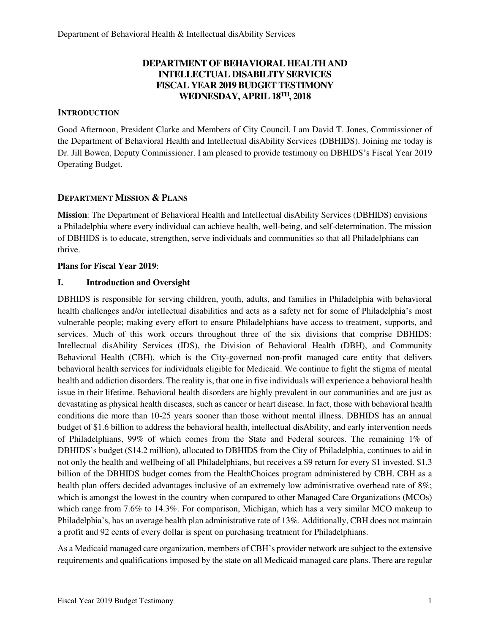# **DEPARTMENT OF BEHAVIORAL HEALTH AND INTELLECTUAL DISABILITY SERVICES FISCAL YEAR 2019 BUDGET TESTIMONY WEDNESDAY, APRIL 18TH, 2018**

## **INTRODUCTION**

Good Afternoon, President Clarke and Members of City Council. I am David T. Jones, Commissioner of the Department of Behavioral Health and Intellectual disAbility Services (DBHIDS). Joining me today is Dr. Jill Bowen, Deputy Commissioner. I am pleased to provide testimony on DBHIDS's Fiscal Year 2019 Operating Budget.

## **DEPARTMENT MISSION & PLANS**

**Mission**: The Department of Behavioral Health and Intellectual disAbility Services (DBHIDS) envisions a Philadelphia where every individual can achieve health, well-being, and self-determination. The mission of DBHIDS is to educate, strengthen, serve individuals and communities so that all Philadelphians can thrive.

## **Plans for Fiscal Year 2019**:

## **I. Introduction and Oversight**

DBHIDS is responsible for serving children, youth, adults, and families in Philadelphia with behavioral health challenges and/or intellectual disabilities and acts as a safety net for some of Philadelphia's most vulnerable people; making every effort to ensure Philadelphians have access to treatment, supports, and services. Much of this work occurs throughout three of the six divisions that comprise DBHIDS: Intellectual disAbility Services (IDS), the Division of Behavioral Health (DBH), and Community Behavioral Health (CBH), which is the City-governed non-profit managed care entity that delivers behavioral health services for individuals eligible for Medicaid. We continue to fight the stigma of mental health and addiction disorders. The reality is, that one in five individuals will experience a behavioral health issue in their lifetime. Behavioral health disorders are highly prevalent in our communities and are just as devastating as physical health diseases, such as cancer or heart disease. In fact, those with behavioral health conditions die more than 10-25 years sooner than those without mental illness. DBHIDS has an annual budget of \$1.6 billion to address the behavioral health, intellectual disAbility, and early intervention needs of Philadelphians, 99% of which comes from the State and Federal sources. The remaining 1% of DBHIDS's budget (\$14.2 million), allocated to DBHIDS from the City of Philadelphia, continues to aid in not only the health and wellbeing of all Philadelphians, but receives a \$9 return for every \$1 invested. \$1.3 billion of the DBHIDS budget comes from the HealthChoices program administered by CBH. CBH as a health plan offers decided advantages inclusive of an extremely low administrative overhead rate of 8%; which is amongst the lowest in the country when compared to other Managed Care Organizations (MCOs) which range from 7.6% to 14.3%. For comparison, Michigan, which has a very similar MCO makeup to Philadelphia's, has an average health plan administrative rate of 13%. Additionally, CBH does not maintain a profit and 92 cents of every dollar is spent on purchasing treatment for Philadelphians.

As a Medicaid managed care organization, members of CBH's provider network are subject to the extensive requirements and qualifications imposed by the state on all Medicaid managed care plans. There are regular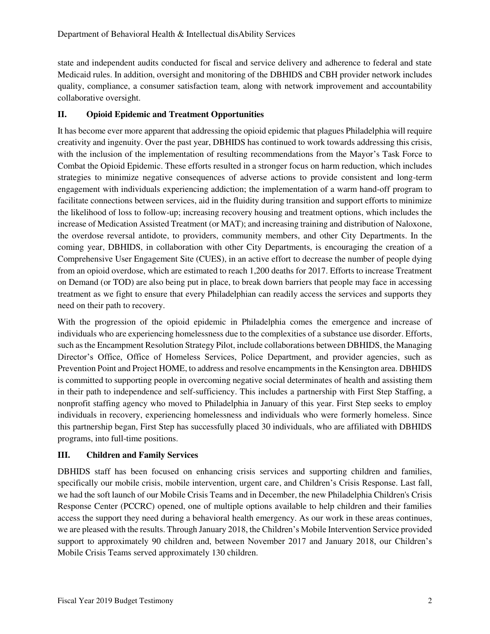state and independent audits conducted for fiscal and service delivery and adherence to federal and state Medicaid rules. In addition, oversight and monitoring of the DBHIDS and CBH provider network includes quality, compliance, a consumer satisfaction team, along with network improvement and accountability collaborative oversight.

## **II. Opioid Epidemic and Treatment Opportunities**

It has become ever more apparent that addressing the opioid epidemic that plagues Philadelphia will require creativity and ingenuity. Over the past year, DBHIDS has continued to work towards addressing this crisis, with the inclusion of the implementation of resulting recommendations from the Mayor's Task Force to Combat the Opioid Epidemic. These efforts resulted in a stronger focus on harm reduction, which includes strategies to minimize negative consequences of adverse actions to provide consistent and long-term engagement with individuals experiencing addiction; the implementation of a warm hand-off program to facilitate connections between services, aid in the fluidity during transition and support efforts to minimize the likelihood of loss to follow-up; increasing recovery housing and treatment options, which includes the increase of Medication Assisted Treatment (or MAT); and increasing training and distribution of Naloxone, the overdose reversal antidote, to providers, community members, and other City Departments. In the coming year, DBHIDS, in collaboration with other City Departments, is encouraging the creation of a Comprehensive User Engagement Site (CUES), in an active effort to decrease the number of people dying from an opioid overdose, which are estimated to reach 1,200 deaths for 2017. Efforts to increase Treatment on Demand (or TOD) are also being put in place, to break down barriers that people may face in accessing treatment as we fight to ensure that every Philadelphian can readily access the services and supports they need on their path to recovery.

With the progression of the opioid epidemic in Philadelphia comes the emergence and increase of individuals who are experiencing homelessness due to the complexities of a substance use disorder. Efforts, such as the Encampment Resolution Strategy Pilot, include collaborations between DBHIDS, the Managing Director's Office, Office of Homeless Services, Police Department, and provider agencies, such as Prevention Point and Project HOME, to address and resolve encampments in the Kensington area. DBHIDS is committed to supporting people in overcoming negative social determinates of health and assisting them in their path to independence and self-sufficiency. This includes a partnership with First Step Staffing, a nonprofit staffing agency who moved to Philadelphia in January of this year. First Step seeks to employ individuals in recovery, experiencing homelessness and individuals who were formerly homeless. Since this partnership began, First Step has successfully placed 30 individuals, who are affiliated with DBHIDS programs, into full-time positions.

## **III. Children and Family Services**

DBHIDS staff has been focused on enhancing crisis services and supporting children and families, specifically our mobile crisis, mobile intervention, urgent care, and Children's Crisis Response. Last fall, we had the soft launch of our Mobile Crisis Teams and in December, the new Philadelphia Children's Crisis Response Center (PCCRC) opened, one of multiple options available to help children and their families access the support they need during a behavioral health emergency. As our work in these areas continues, we are pleased with the results. Through January 2018, the Children's Mobile Intervention Service provided support to approximately 90 children and, between November 2017 and January 2018, our Children's Mobile Crisis Teams served approximately 130 children.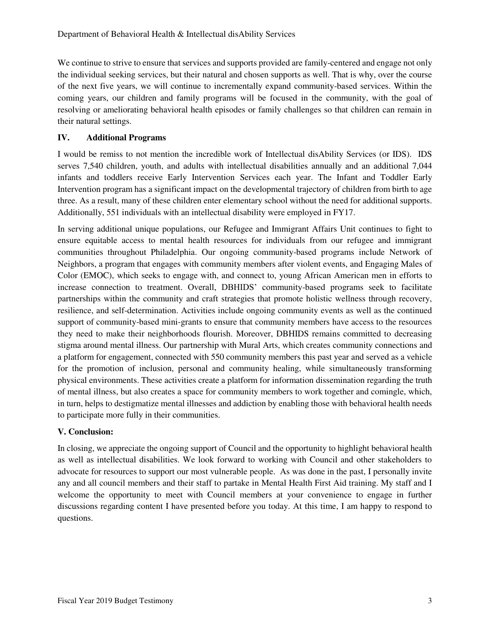We continue to strive to ensure that services and supports provided are family-centered and engage not only the individual seeking services, but their natural and chosen supports as well. That is why, over the course of the next five years, we will continue to incrementally expand community-based services. Within the coming years, our children and family programs will be focused in the community, with the goal of resolving or ameliorating behavioral health episodes or family challenges so that children can remain in their natural settings.

## **IV. Additional Programs**

I would be remiss to not mention the incredible work of Intellectual disAbility Services (or IDS). IDS serves 7,540 children, youth, and adults with intellectual disabilities annually and an additional 7,044 infants and toddlers receive Early Intervention Services each year. The Infant and Toddler Early Intervention program has a significant impact on the developmental trajectory of children from birth to age three. As a result, many of these children enter elementary school without the need for additional supports. Additionally, 551 individuals with an intellectual disability were employed in FY17.

In serving additional unique populations, our Refugee and Immigrant Affairs Unit continues to fight to ensure equitable access to mental health resources for individuals from our refugee and immigrant communities throughout Philadelphia. Our ongoing community-based programs include Network of Neighbors, a program that engages with community members after violent events, and Engaging Males of Color (EMOC), which seeks to engage with, and connect to, young African American men in efforts to increase connection to treatment. Overall, DBHIDS' community-based programs seek to facilitate partnerships within the community and craft strategies that promote holistic wellness through recovery, resilience, and self-determination. Activities include ongoing community events as well as the continued support of community-based mini-grants to ensure that community members have access to the resources they need to make their neighborhoods flourish. Moreover, DBHIDS remains committed to decreasing stigma around mental illness. Our partnership with Mural Arts, which creates community connections and a platform for engagement, connected with 550 community members this past year and served as a vehicle for the promotion of inclusion, personal and community healing, while simultaneously transforming physical environments. These activities create a platform for information dissemination regarding the truth of mental illness, but also creates a space for community members to work together and comingle, which, in turn, helps to destigmatize mental illnesses and addiction by enabling those with behavioral health needs to participate more fully in their communities.

#### **V. Conclusion:**

In closing, we appreciate the ongoing support of Council and the opportunity to highlight behavioral health as well as intellectual disabilities. We look forward to working with Council and other stakeholders to advocate for resources to support our most vulnerable people. As was done in the past, I personally invite any and all council members and their staff to partake in Mental Health First Aid training. My staff and I welcome the opportunity to meet with Council members at your convenience to engage in further discussions regarding content I have presented before you today. At this time, I am happy to respond to questions.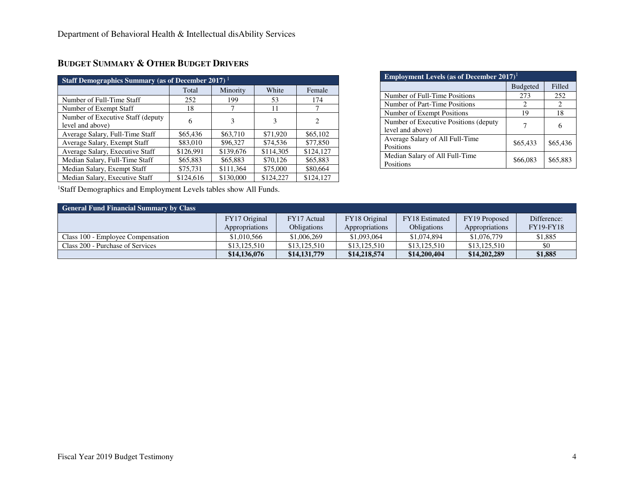| <b>Staff Demographics Summary (as of December 2017)</b> <sup>1</sup> |           |           |           |           |  |  |  |
|----------------------------------------------------------------------|-----------|-----------|-----------|-----------|--|--|--|
|                                                                      | Total     | Minority  | White     | Female    |  |  |  |
| Number of Full-Time Staff                                            | 252       | 199       | 53        | 174       |  |  |  |
| Number of Exempt Staff                                               | 18        |           | 11        |           |  |  |  |
| Number of Executive Staff (deputy)<br>level and above)               | 6         | 3         | 3         | 2         |  |  |  |
| Average Salary, Full-Time Staff                                      | \$65,436  | \$63,710  | \$71,920  | \$65,102  |  |  |  |
| Average Salary, Exempt Staff                                         | \$83,010  | \$96,327  | \$74,536  | \$77,850  |  |  |  |
| Average Salary, Executive Staff                                      | \$126,991 | \$139,676 | \$114,305 | \$124,127 |  |  |  |
| Median Salary, Full-Time Staff                                       | \$65,883  | \$65,883  | \$70,126  | \$65,883  |  |  |  |
| Median Salary, Exempt Staff                                          | \$75,731  | \$111,364 | \$75,000  | \$80,664  |  |  |  |
| Median Salary, Executive Staff                                       | \$124,616 | \$130,000 | \$124,227 | \$124,127 |  |  |  |

# **BUDGET SUMMARY & OTHER BUDGET DRIVERS**

<sup>1</sup>Staff Demographics and Employment Levels tables show All Funds.

| <b>Employment Levels (as of December 2017)</b> <sup>1</sup> |                 |          |  |  |  |  |  |
|-------------------------------------------------------------|-----------------|----------|--|--|--|--|--|
|                                                             | <b>Budgeted</b> | Filled   |  |  |  |  |  |
| Number of Full-Time Positions                               | 273             | 252      |  |  |  |  |  |
| Number of Part-Time Positions                               | 2               | 2        |  |  |  |  |  |
| Number of Exempt Positions                                  | 19              | 18       |  |  |  |  |  |
| Number of Executive Positions (deputy)<br>level and above)  |                 | 6        |  |  |  |  |  |
| Average Salary of All Full-Time<br>Positions                | \$65,433        | \$65,436 |  |  |  |  |  |
| Median Salary of All Full-Time<br>Positions                 | \$66,083        | \$65,883 |  |  |  |  |  |

| <b>General Fund Financial Summary by Class</b> |                |                    |                |                       |                |                  |  |  |  |
|------------------------------------------------|----------------|--------------------|----------------|-----------------------|----------------|------------------|--|--|--|
|                                                | FY17 Original  | FY17 Actual        | FY18 Original  | <b>FY18</b> Estimated | FY19 Proposed  | Difference:      |  |  |  |
|                                                | Appropriations | <b>Obligations</b> | Appropriations | <b>Obligations</b>    | Appropriations | <b>FY19-FY18</b> |  |  |  |
| Class 100 - Employee Compensation              | \$1,010,566    | \$1,006,269        | \$1,093,064    | \$1,074,894           | \$1,076,779    | \$1,885          |  |  |  |
| Class 200 - Purchase of Services               | \$13,125,510   | \$13,125,510       | \$13,125,510   | \$13,125,510          | \$13,125,510   |                  |  |  |  |
|                                                | \$14,136,076   | \$14,131,779       | \$14,218,574   | \$14,200,404          | \$14,202,289   | \$1,885          |  |  |  |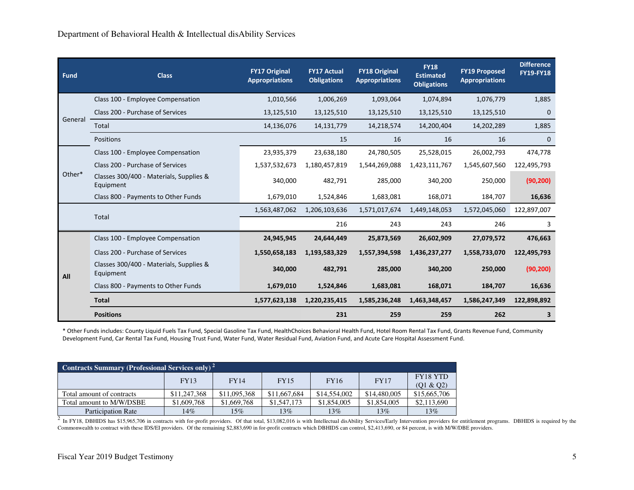| <b>Fund</b> | <b>Class</b>                                         | <b>FY17 Original</b><br><b>Appropriations</b> | <b>FY17 Actual</b><br><b>Obligations</b> | <b>FY18 Original</b><br><b>Appropriations</b> | <b>FY18</b><br><b>Estimated</b><br><b>Obligations</b> | <b>FY19 Proposed</b><br><b>Appropriations</b> | <b>Difference</b><br><b>FY19-FY18</b> |
|-------------|------------------------------------------------------|-----------------------------------------------|------------------------------------------|-----------------------------------------------|-------------------------------------------------------|-----------------------------------------------|---------------------------------------|
|             | Class 100 - Employee Compensation                    | 1,010,566                                     | 1,006,269                                | 1,093,064                                     | 1,074,894                                             | 1,076,779                                     | 1,885                                 |
|             | Class 200 - Purchase of Services                     | 13,125,510                                    | 13,125,510                               | 13,125,510                                    | 13,125,510                                            | 13,125,510                                    | $\mathbf 0$                           |
| General     | Total                                                | 14,136,076                                    | 14,131,779                               | 14,218,574                                    | 14,200,404                                            | 14,202,289                                    | 1,885                                 |
|             | Positions                                            |                                               | 15                                       | 16                                            | 16                                                    | 16                                            | $\mathbf{0}$                          |
|             | Class 100 - Employee Compensation                    | 23,935,379                                    | 23,638,180                               | 24,780,505                                    | 25,528,015                                            | 26,002,793                                    | 474,778                               |
|             | Class 200 - Purchase of Services                     | 1,537,532,673                                 | 1,180,457,819                            | 1,544,269,088                                 | 1,423,111,767                                         | 1,545,607,560                                 | 122,495,793                           |
| Other*      | Classes 300/400 - Materials, Supplies &<br>Equipment | 340,000                                       | 482,791                                  | 285,000                                       | 340,200                                               | 250,000                                       | (90, 200)                             |
|             | Class 800 - Payments to Other Funds                  | 1,679,010                                     | 1,524,846                                | 1,683,081                                     | 168,071                                               | 184,707                                       | 16,636                                |
|             | <b>Total</b>                                         | 1,563,487,062                                 | 1,206,103,636                            | 1,571,017,674                                 | 1,449,148,053                                         | 1,572,045,060                                 | 122,897,007                           |
|             |                                                      |                                               | 216                                      | 243                                           | 243                                                   | 246                                           | 3                                     |
|             | Class 100 - Employee Compensation                    | 24,945,945                                    | 24,644,449                               | 25,873,569                                    | 26,602,909                                            | 27,079,572                                    | 476,663                               |
|             | Class 200 - Purchase of Services                     | 1,550,658,183                                 | 1,193,583,329                            | 1,557,394,598                                 | 1,436,237,277                                         | 1,558,733,070                                 | 122,495,793                           |
| All         | Classes 300/400 - Materials, Supplies &<br>Equipment | 340,000                                       | 482,791                                  | 285,000                                       | 340,200                                               | 250,000                                       | (90, 200)                             |
|             | Class 800 - Payments to Other Funds                  | 1,679,010                                     | 1,524,846                                | 1,683,081                                     | 168,071                                               | 184,707                                       | 16,636                                |
|             | <b>Total</b>                                         | 1,577,623,138                                 | 1,220,235,415                            | 1,585,236,248                                 | 1,463,348,457                                         | 1,586,247,349                                 | 122,898,892                           |
|             | <b>Positions</b>                                     |                                               | 231                                      | 259                                           | 259                                                   | 262                                           | 3                                     |

\* Other Funds includes: County Liquid Fuels Tax Fund, Special Gasoline Tax Fund, HealthChoices Behavioral Health Fund, Hotel Room Rental Tax Fund, Grants Revenue Fund, Community Development Fund, Car Rental Tax Fund, Housing Trust Fund, Water Fund, Water Residual Fund, Aviation Fund, and Acute Care Hospital Assessment Fund.

| Contracts Summary (Professional Services only) <sup>2</sup> |              |              |              |              |              |                              |  |  |
|-------------------------------------------------------------|--------------|--------------|--------------|--------------|--------------|------------------------------|--|--|
|                                                             | <b>FY13</b>  | <b>FY14</b>  | <b>FY15</b>  | <b>FY16</b>  | <b>FY17</b>  | <b>FY18 YTD</b><br>(01 & 02) |  |  |
| Total amount of contracts                                   | \$11,247,368 | \$11,095,368 | \$11,667,684 | \$14,554,002 | \$14,480,005 | \$15,665,706                 |  |  |
| Total amount to M/W/DSBE                                    | \$1,609,768  | \$1,669,768  | \$1,547,173  | \$1,854,005  | \$1,854,005  | \$2,113,690                  |  |  |
| <b>Participation Rate</b>                                   | 14%          | 15%          | 13%          | 13%          | 13%          | 13%                          |  |  |

 $^2$  In FY18, DBHIDS has \$15,965,706 in contracts with for-profit providers. Of that total, \$13,082,016 is with Intellectual disAbility Services/Early Intervention providers for entitlement programs. DBHIDS is required by Commonwealth to contract with these IDS/EI providers. Of the remaining \$2,883,690 in for-profit contracts which DBHIDS can control, \$2,413,690, or 84 percent, is with M/W/DBE providers.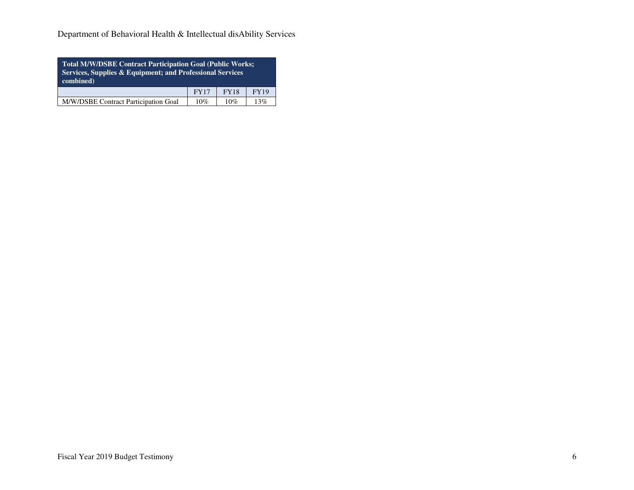Department of Behavioral Health & Intellectual disAbility Services

| <b>Total M/W/DSBE Contract Participation Goal (Public Works;</b><br>Services, Supplies & Equipment; and Professional Services<br>combined) |             |             |             |  |  |  |  |
|--------------------------------------------------------------------------------------------------------------------------------------------|-------------|-------------|-------------|--|--|--|--|
|                                                                                                                                            | <b>FY17</b> | <b>FY18</b> | <b>FY19</b> |  |  |  |  |
| M/W/DSBE Contract Participation Goal<br>10%<br>13%<br>10%                                                                                  |             |             |             |  |  |  |  |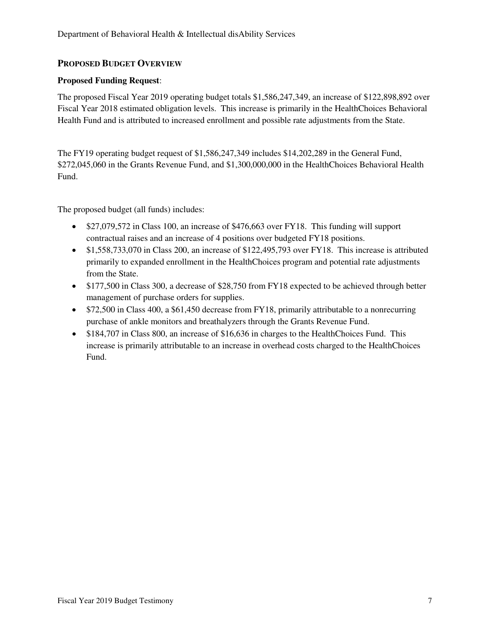## **PROPOSED BUDGET OVERVIEW**

## **Proposed Funding Request**:

The proposed Fiscal Year 2019 operating budget totals \$1,586,247,349, an increase of \$122,898,892 over Fiscal Year 2018 estimated obligation levels. This increase is primarily in the HealthChoices Behavioral Health Fund and is attributed to increased enrollment and possible rate adjustments from the State.

The FY19 operating budget request of \$1,586,247,349 includes \$14,202,289 in the General Fund, \$272,045,060 in the Grants Revenue Fund, and \$1,300,000,000 in the HealthChoices Behavioral Health Fund.

The proposed budget (all funds) includes:

- \$27,079,572 in Class 100, an increase of \$476,663 over FY18. This funding will support contractual raises and an increase of 4 positions over budgeted FY18 positions.
- \$1,558,733,070 in Class 200, an increase of \$122,495,793 over FY18. This increase is attributed primarily to expanded enrollment in the HealthChoices program and potential rate adjustments from the State.
- \$177,500 in Class 300, a decrease of \$28,750 from FY18 expected to be achieved through better management of purchase orders for supplies.
- \$72,500 in Class 400, a \$61,450 decrease from FY18, primarily attributable to a nonrecurring purchase of ankle monitors and breathalyzers through the Grants Revenue Fund.
- \$184,707 in Class 800, an increase of \$16,636 in charges to the HealthChoices Fund. This increase is primarily attributable to an increase in overhead costs charged to the HealthChoices Fund.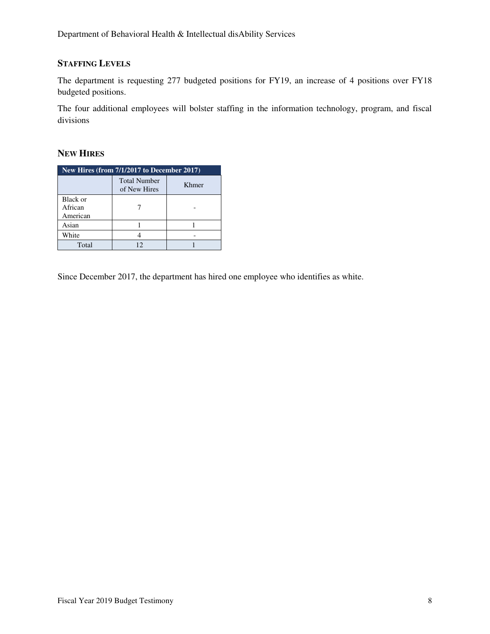# **STAFFING LEVELS**

The department is requesting 277 budgeted positions for FY19, an increase of 4 positions over FY18 budgeted positions.

The four additional employees will bolster staffing in the information technology, program, and fiscal divisions

#### **NEW HIRES**

| New Hires (from 7/1/2017 to December 2017) |                                     |       |  |  |  |  |
|--------------------------------------------|-------------------------------------|-------|--|--|--|--|
|                                            | <b>Total Number</b><br>of New Hires | Khmer |  |  |  |  |
| Black or<br>African<br>American            |                                     |       |  |  |  |  |
| Asian                                      |                                     |       |  |  |  |  |
| White                                      |                                     |       |  |  |  |  |
| Total                                      |                                     |       |  |  |  |  |

Since December 2017, the department has hired one employee who identifies as white.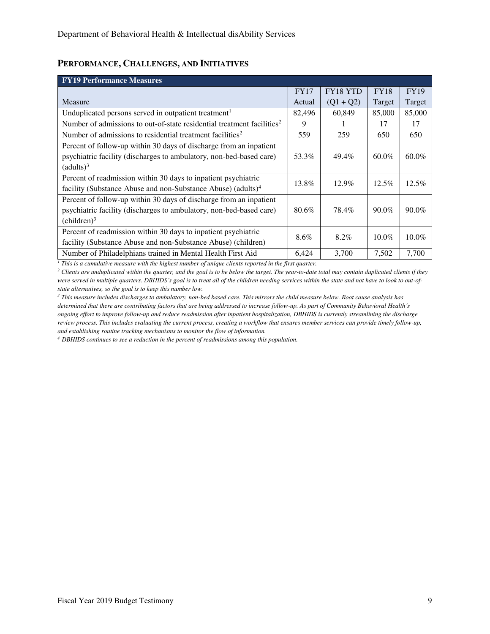## **PERFORMANCE, CHALLENGES, AND INITIATIVES**

| <b>FY19 Performance Measures</b>                                                   |             |                 |             |             |
|------------------------------------------------------------------------------------|-------------|-----------------|-------------|-------------|
|                                                                                    | <b>FY17</b> | <b>FY18 YTD</b> | <b>FY18</b> | <b>FY19</b> |
| Measure                                                                            | Actual      | $(Q1 + Q2)$     | Target      | Target      |
| Unduplicated persons served in outpatient treatment <sup>1</sup>                   | 82,496      | 60,849          | 85,000      | 85,000      |
| Number of admissions to out-of-state residential treatment facilities <sup>2</sup> | 9           |                 | 17          | 17          |
| Number of admissions to residential treatment facilities <sup>2</sup>              | 559         | 259             | 650         | 650         |
| Percent of follow-up within 30 days of discharge from an inpatient                 |             |                 |             |             |
| psychiatric facility (discharges to ambulatory, non-bed-based care)                | 53.3%       | 49.4%           | $60.0\%$    | 60.0%       |
| (adults) <sup>3</sup>                                                              |             |                 |             |             |
| Percent of readmission within 30 days to inpatient psychiatric                     | 13.8%       | $12.9\%$        | 12.5%       | 12.5%       |
| facility (Substance Abuse and non-Substance Abuse) (adults) <sup>4</sup>           |             |                 |             |             |
| Percent of follow-up within 30 days of discharge from an inpatient                 |             |                 |             |             |
| psychiatric facility (discharges to ambulatory, non-bed-based care)                | 80.6%       | 78.4%           | $90.0\%$    | $90.0\%$    |
| (children) <sup>3</sup>                                                            |             |                 |             |             |
| Percent of readmission within 30 days to inpatient psychiatric                     | 8.6%        | 8.2%            | $10.0\%$    | $10.0\%$    |
| facility (Substance Abuse and non-Substance Abuse) (children)                      |             |                 |             |             |
| Number of Philadelphians trained in Mental Health First Aid                        | 6,424       | 3,700           | 7.502       | 7,700       |

 $I<sup>I</sup>$  This is a cumulative measure with the highest number of unique clients reported in the first quarter.

<sup>2</sup> Clients are unduplicated within the quarter, and the goal is to be below the target. The year-to-date total may contain duplicated clients if they *were served in multiple quarters. DBHIDS's goal is to treat all of the children needing services within the state and not have to look to out-ofstate alternatives, so the goal is to keep this number low.*

*3 This measure includes discharges to ambulatory, non-bed based care. This mirrors the child measure below. Root cause analysis has determined that there are contributing factors that are being addressed to increase follow-up. As part of Community Behavioral Health's ongoing effort to improve follow-up and reduce readmission after inpatient hospitalization, DBHIDS is currently streamlining the discharge review process. This includes evaluating the current process, creating a workflow that ensures member services can provide timely follow-up, and establishing routine tracking mechanisms to monitor the flow of information.* 

*<sup>4</sup> DBHIDS continues to see a reduction in the percent of readmissions among this population.*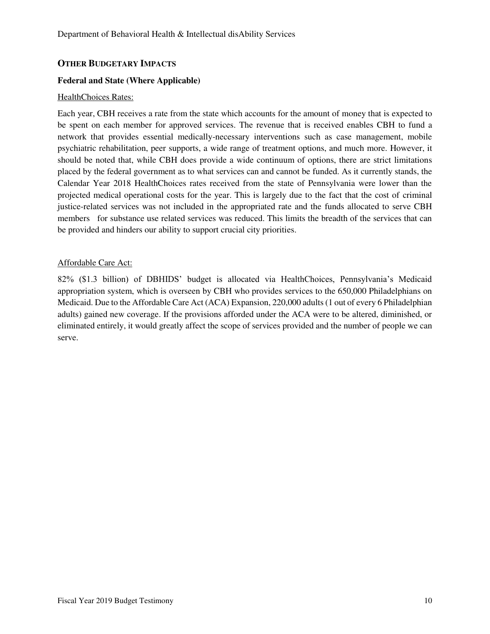## **OTHER BUDGETARY IMPACTS**

#### **Federal and State (Where Applicable)**

#### HealthChoices Rates:

Each year, CBH receives a rate from the state which accounts for the amount of money that is expected to be spent on each member for approved services. The revenue that is received enables CBH to fund a network that provides essential medically-necessary interventions such as case management, mobile psychiatric rehabilitation, peer supports, a wide range of treatment options, and much more. However, it should be noted that, while CBH does provide a wide continuum of options, there are strict limitations placed by the federal government as to what services can and cannot be funded. As it currently stands, the Calendar Year 2018 HealthChoices rates received from the state of Pennsylvania were lower than the projected medical operational costs for the year. This is largely due to the fact that the cost of criminal justice-related services was not included in the appropriated rate and the funds allocated to serve CBH members for substance use related services was reduced. This limits the breadth of the services that can be provided and hinders our ability to support crucial city priorities.

#### Affordable Care Act:

82% (\$1.3 billion) of DBHIDS' budget is allocated via HealthChoices, Pennsylvania's Medicaid appropriation system, which is overseen by CBH who provides services to the 650,000 Philadelphians on Medicaid. Due to the Affordable Care Act (ACA) Expansion, 220,000 adults (1 out of every 6 Philadelphian adults) gained new coverage. If the provisions afforded under the ACA were to be altered, diminished, or eliminated entirely, it would greatly affect the scope of services provided and the number of people we can serve.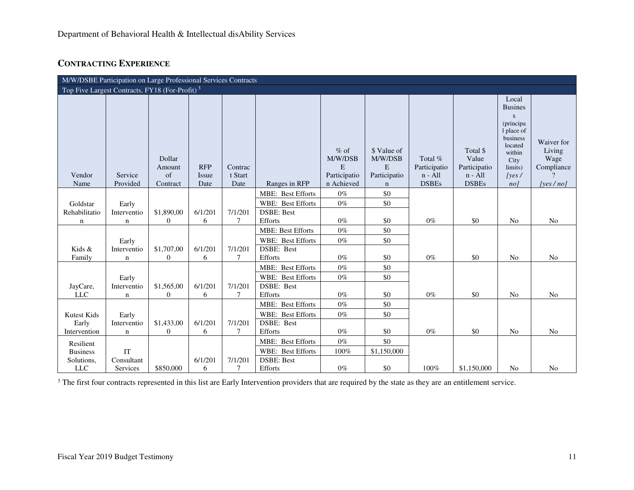# **CONTRACTING EXPERIENCE**

| M/W/DSBE Participation on Large Professional Services Contracts |                            |                                            |                                    |                            |                                 |                                                      |                                                            |                                                      |                                                                |                                                                                                                                 |                                                            |
|-----------------------------------------------------------------|----------------------------|--------------------------------------------|------------------------------------|----------------------------|---------------------------------|------------------------------------------------------|------------------------------------------------------------|------------------------------------------------------|----------------------------------------------------------------|---------------------------------------------------------------------------------------------------------------------------------|------------------------------------------------------------|
| Top Five Largest Contracts, FY18 (For-Profit) <sup>3</sup>      |                            |                                            |                                    |                            |                                 |                                                      |                                                            |                                                      |                                                                |                                                                                                                                 |                                                            |
| Vendor<br>Name                                                  | Service<br>Provided        | Dollar<br>Amount<br>$\sigma$ f<br>Contract | <b>RFP</b><br><b>Issue</b><br>Date | Contrac<br>t Start<br>Date | Ranges in RFP                   | $%$ of<br>M/W/DSB<br>E<br>Participatio<br>n Achieved | \$ Value of<br>M/W/DSB<br>E<br>Participatio<br>$\mathbf n$ | Total %<br>Participatio<br>$n - All$<br><b>DSBEs</b> | Total \$<br>Value<br>Participatio<br>$n - All$<br><b>DSBEs</b> | Local<br><b>Busines</b><br>S<br>(principa)<br>1 place of<br>business<br>located<br>within<br>City<br>limits)<br> yes <br>$no$ ] | Waiver for<br>Living<br>Wage<br>Compliance<br>[yes $/$ no] |
|                                                                 |                            |                                            |                                    |                            | <b>MBE: Best Efforts</b>        | $0\%$                                                | \$0                                                        |                                                      |                                                                |                                                                                                                                 |                                                            |
| Goldstar                                                        | Early                      |                                            |                                    |                            | WBE: Best Efforts               | $0\%$                                                | \$0                                                        |                                                      |                                                                |                                                                                                                                 |                                                            |
| Rehabilitatio<br>$\mathbf n$                                    | Interventio<br>$\mathbf n$ | \$1,890,00<br>$\theta$                     | 6/1/201<br>6                       | 7/1/201<br>$\tau$          | <b>DSBE: Best</b><br>Efforts    | $0\%$                                                | \$0                                                        | $0\%$                                                | \$0                                                            | N <sub>o</sub>                                                                                                                  | No                                                         |
|                                                                 |                            |                                            |                                    |                            | <b>MBE: Best Efforts</b>        | $0\%$                                                | \$0                                                        |                                                      |                                                                |                                                                                                                                 |                                                            |
|                                                                 | Early                      |                                            |                                    |                            | WBE: Best Efforts               | $0\%$                                                | \$0                                                        |                                                      |                                                                |                                                                                                                                 |                                                            |
| Kids &                                                          | Interventio                | \$1,707,00                                 | 6/1/201                            | 7/1/201                    | DSBE: Best                      |                                                      |                                                            |                                                      |                                                                |                                                                                                                                 |                                                            |
| Family                                                          | n                          | $\theta$                                   | 6                                  | 7                          | Efforts                         | $0\%$                                                | \$0                                                        | $0\%$                                                | \$0                                                            | N <sub>o</sub>                                                                                                                  | No                                                         |
|                                                                 |                            |                                            |                                    |                            | MBE: Best Efforts               | $0\%$                                                | \$0                                                        |                                                      |                                                                |                                                                                                                                 |                                                            |
|                                                                 | Early                      |                                            |                                    |                            | WBE: Best Efforts<br>DSBE: Best | $0\%$                                                | \$0                                                        |                                                      |                                                                |                                                                                                                                 |                                                            |
| JayCare,<br><b>LLC</b>                                          | Interventio<br>n           | \$1,565,00<br>$\theta$                     | 6/1/201<br>6                       | 7/1/201<br>$\tau$          | Efforts                         | $0\%$                                                | \$0                                                        | $0\%$                                                | \$0                                                            | N <sub>o</sub>                                                                                                                  | N <sub>o</sub>                                             |
|                                                                 |                            |                                            |                                    |                            | <b>MBE: Best Efforts</b>        | $0\%$                                                | \$0                                                        |                                                      |                                                                |                                                                                                                                 |                                                            |
| Kutest Kids                                                     | Early                      |                                            |                                    |                            | WBE: Best Efforts               | $0\%$                                                | \$0                                                        |                                                      |                                                                |                                                                                                                                 |                                                            |
| Early                                                           | Interventio                | \$1,433,00                                 | 6/1/201                            | 7/1/201                    | DSBE: Best                      |                                                      |                                                            |                                                      |                                                                |                                                                                                                                 |                                                            |
| Intervention                                                    | $\mathbf n$                | $\theta$                                   | 6                                  | 7                          | Efforts                         | $0\%$                                                | \$0                                                        | $0\%$                                                | \$0                                                            | N <sub>o</sub>                                                                                                                  | No                                                         |
| Resilient                                                       |                            |                                            |                                    |                            | MBE: Best Efforts               | $0\%$                                                | \$0                                                        |                                                      |                                                                |                                                                                                                                 |                                                            |
| <b>Business</b>                                                 | IT                         |                                            |                                    |                            | WBE: Best Efforts               | 100%                                                 | \$1,150,000                                                |                                                      |                                                                |                                                                                                                                 |                                                            |
| Solutions,                                                      | Consultant                 |                                            | 6/1/201                            | 7/1/201                    | <b>DSBE: Best</b>               |                                                      |                                                            |                                                      |                                                                |                                                                                                                                 |                                                            |
| <b>LLC</b>                                                      | Services                   | \$850,000                                  | 6                                  | 7                          | Efforts                         | $0\%$                                                | \$0                                                        | 100%                                                 | \$1,150,000                                                    | No                                                                                                                              | No                                                         |

<sup>3</sup> The first four contracts represented in this list are Early Intervention providers that are required by the state as they are an entitlement service.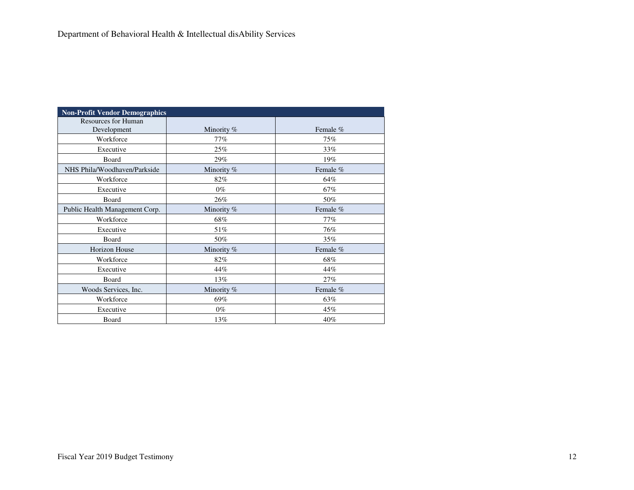| <b>Non-Profit Vendor Demographics</b>     |            |          |
|-------------------------------------------|------------|----------|
| <b>Resources for Human</b><br>Development | Minority % | Female % |
| Workforce                                 | 77%        | 75%      |
| Executive                                 | 25%        | $33\%$   |
| Board                                     | 29%        | 19%      |
| NHS Phila/Woodhaven/Parkside              | Minority % | Female % |
| Workforce                                 | 82%        | 64%      |
| Executive                                 | $0\%$      | 67%      |
| Board                                     | 26%        | 50%      |
| Public Health Management Corp.            | Minority % | Female % |
| Workforce                                 | 68%        | 77%      |
| Executive                                 | 51%        | 76%      |
| Board                                     | 50%        | 35%      |
| <b>Horizon House</b>                      | Minority % | Female % |
| Workforce                                 | 82%        | 68%      |
| Executive                                 | 44%        | 44%      |
| Board                                     | 13%        | 27%      |
| Woods Services, Inc.                      | Minority % | Female % |
| Workforce                                 | 69%        | 63%      |
| Executive                                 | $0\%$      | 45%      |
| Board                                     | 13%        | 40%      |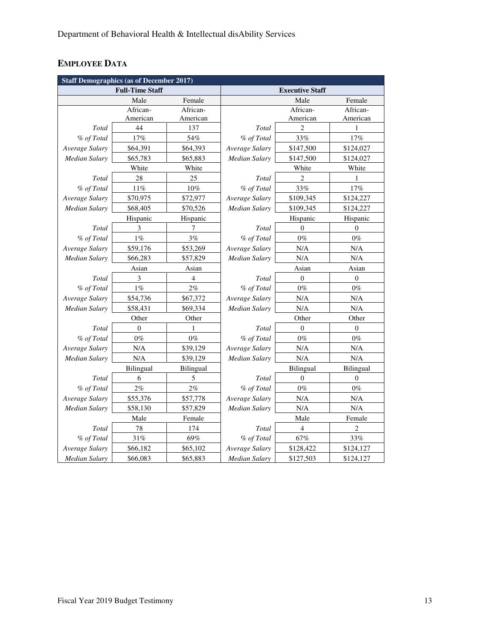# **EMPLOYEE DATA**

|                      | <b>Staff Demographics (as of December 2017)</b> |                |                        |                  |           |  |  |  |  |
|----------------------|-------------------------------------------------|----------------|------------------------|------------------|-----------|--|--|--|--|
|                      | <b>Full-Time Staff</b>                          |                | <b>Executive Staff</b> |                  |           |  |  |  |  |
|                      | Male                                            | Female         |                        | Male             | Female    |  |  |  |  |
|                      | African-                                        | African-       |                        | African-         | African-  |  |  |  |  |
|                      | American                                        | American       |                        | American         | American  |  |  |  |  |
| Total                | 44                                              | 137            | Total                  | $\overline{2}$   | 1         |  |  |  |  |
| % of Total           | 17%                                             | 54%            | % of Total             | 33%              | 17%       |  |  |  |  |
| Average Salary       | \$64,391                                        | \$64,393       | Average Salary         | \$147,500        | \$124,027 |  |  |  |  |
| Median Salary        | \$65,783                                        | \$65,883       | Median Salary          | \$147,500        | \$124,027 |  |  |  |  |
|                      | White                                           | White          |                        | White            | White     |  |  |  |  |
| Total                | 28                                              | 25             | Total                  | $\overline{2}$   | 1         |  |  |  |  |
| % of Total           | 11%                                             | 10%            | % of Total             | 33%              | 17%       |  |  |  |  |
| Average Salary       | \$70,975                                        | \$72,977       | Average Salary         | \$109,345        | \$124,227 |  |  |  |  |
| Median Salary        | \$68,405                                        | \$70,526       | Median Salary          | \$109,345        | \$124,227 |  |  |  |  |
|                      | Hispanic                                        | Hispanic       |                        | Hispanic         | Hispanic  |  |  |  |  |
| Total                | 3                                               | 7              | Total                  | $\Omega$         | $\Omega$  |  |  |  |  |
| % of Total           | $1\%$                                           | 3%             | % of Total             | $0\%$            | $0\%$     |  |  |  |  |
| Average Salary       | \$59,176                                        | \$53,269       | Average Salary         | N/A              | N/A       |  |  |  |  |
| <b>Median Salary</b> | \$66,283                                        | \$57,829       | Median Salary          | N/A              | N/A       |  |  |  |  |
|                      | Asian                                           | Asian          |                        | Asian            | Asian     |  |  |  |  |
| Total                | 3                                               | $\overline{4}$ | Total                  | $\theta$         | $\theta$  |  |  |  |  |
| % of Total           | $1\%$                                           | $2\%$          | % of Total             | $0\%$            | $0\%$     |  |  |  |  |
| Average Salary       | \$54,736                                        | \$67,372       | Average Salary         | N/A              | N/A       |  |  |  |  |
| <b>Median Salary</b> | \$58,431                                        | \$69,334       | <b>Median Salary</b>   | N/A              | N/A       |  |  |  |  |
|                      | Other                                           | Other          |                        | Other            | Other     |  |  |  |  |
| Total                | $\Omega$                                        | 1              | Total                  | $\Omega$         | $\theta$  |  |  |  |  |
| % of Total           | $0\%$                                           | $0\%$          | % of Total             | $0\%$            | $0\%$     |  |  |  |  |
| Average Salary       | N/A                                             | \$39,129       | Average Salary         | N/A              | N/A       |  |  |  |  |
| <b>Median Salary</b> | N/A                                             | \$39,129       | Median Salary          | N/A              | N/A       |  |  |  |  |
|                      | Bilingual                                       | Bilingual      |                        | <b>Bilingual</b> | Bilingual |  |  |  |  |
| Total                | 6                                               | 5              | Total                  | $\theta$         | $\theta$  |  |  |  |  |
| % of Total           | $2\%$                                           | 2%             | % of Total             | $0\%$            | $0\%$     |  |  |  |  |
| Average Salary       | \$55,376                                        | \$57,778       | Average Salary         | N/A              | N/A       |  |  |  |  |
| <b>Median Salary</b> | \$58,130                                        | \$57,829       | Median Salary          | $\rm N/A$        | N/A       |  |  |  |  |
|                      | Male                                            | Female         |                        | Male             | Female    |  |  |  |  |
| Total                | 78                                              | 174            | Total                  | 4                | 2         |  |  |  |  |
| % of Total           | 31%                                             | 69%            | % of Total             | 67%              | 33%       |  |  |  |  |
| Average Salary       | \$66,182                                        | \$65,102       | Average Salary         | \$128,422        | \$124,127 |  |  |  |  |
| Median Salary        | \$66,083                                        | \$65,883       | Median Salary          | \$127,503        | \$124,127 |  |  |  |  |